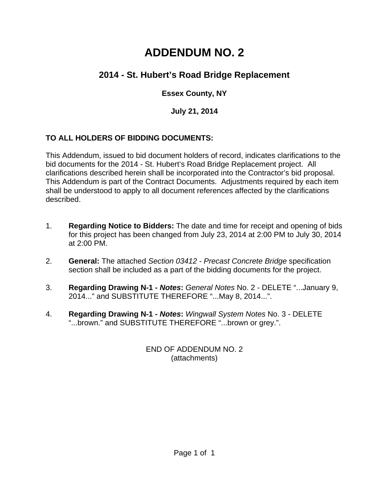# **ADDENDUM NO. 2**

# **2014 - St. Hubert's Road Bridge Replacement**

# **Essex County, NY**

# **July 21, 2014**

# **TO ALL HOLDERS OF BIDDING DOCUMENTS:**

This Addendum, issued to bid document holders of record, indicates clarifications to the bid documents for the 2014 - St. Hubert's Road Bridge Replacement project. All clarifications described herein shall be incorporated into the Contractor's bid proposal. This Addendum is part of the Contract Documents. Adjustments required by each item shall be understood to apply to all document references affected by the clarifications described.

- 1. **Regarding Notice to Bidders:** The date and time for receipt and opening of bids for this project has been changed from July 23, 2014 at 2:00 PM to July 30, 2014 at 2:00 PM.
- 2. **General:** The attached *Section 03412 Precast Concrete Bridge* specification section shall be included as a part of the bidding documents for the project.
- 3. **Regarding Drawing N-1** *Notes***:** *General Notes* No. 2 DELETE "...January 9, 2014..." and SUBSTITUTE THEREFORE "...May 8, 2014...".
- 4. **Regarding Drawing N-1** *Notes***:** *Wingwall System Notes* No. 3 DELETE "...brown." and SUBSTITUTE THEREFORE "...brown or grey.".

END OF ADDENDUM NO. 2 (attachments)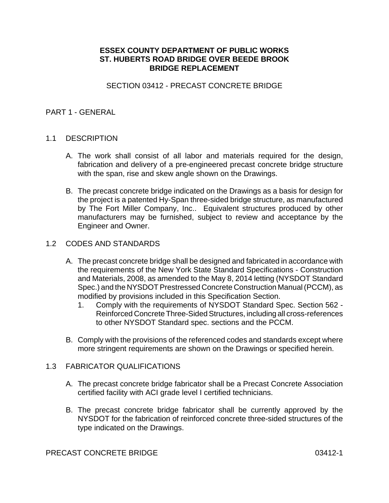## **ESSEX COUNTY DEPARTMENT OF PUBLIC WORKS ST. HUBERTS ROAD BRIDGE OVER BEEDE BROOK BRIDGE REPLACEMENT**

#### SECTION 03412 - PRECAST CONCRETE BRIDGE

#### PART 1 - GENERAL

#### 1.1 DESCRIPTION

- A. The work shall consist of all labor and materials required for the design, fabrication and delivery of a pre-engineered precast concrete bridge structure with the span, rise and skew angle shown on the Drawings.
- B. The precast concrete bridge indicated on the Drawings as a basis for design for the project is a patented Hy-Span three-sided bridge structure, as manufactured by The Fort Miller Company, Inc.. Equivalent structures produced by other manufacturers may be furnished, subject to review and acceptance by the Engineer and Owner.

#### 1.2 CODES AND STANDARDS

- A. The precast concrete bridge shall be designed and fabricated in accordance with the requirements of the New York State Standard Specifications - Construction and Materials, 2008, as amended to the May 8, 2014 letting (NYSDOT Standard Spec.) and the NYSDOT Prestressed Concrete Construction Manual (PCCM), as modified by provisions included in this Specification Section.
	- 1. Comply with the requirements of NYSDOT Standard Spec. Section 562 Reinforced Concrete Three-Sided Structures, including all cross-references to other NYSDOT Standard spec. sections and the PCCM.
- B. Comply with the provisions of the referenced codes and standards except where more stringent requirements are shown on the Drawings or specified herein.

#### 1.3 FABRICATOR QUALIFICATIONS

- A. The precast concrete bridge fabricator shall be a Precast Concrete Association certified facility with ACI grade level I certified technicians.
- B. The precast concrete bridge fabricator shall be currently approved by the NYSDOT for the fabrication of reinforced concrete three-sided structures of the type indicated on the Drawings.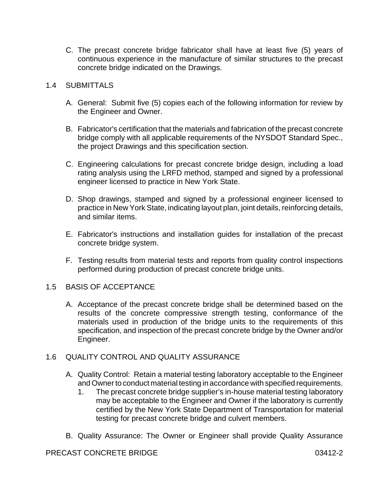C. The precast concrete bridge fabricator shall have at least five (5) years of continuous experience in the manufacture of similar structures to the precast concrete bridge indicated on the Drawings.

# 1.4 SUBMITTALS

- A. General: Submit five (5) copies each of the following information for review by the Engineer and Owner.
- B. Fabricator's certification that the materials and fabrication of the precast concrete bridge comply with all applicable requirements of the NYSDOT Standard Spec., the project Drawings and this specification section.
- C. Engineering calculations for precast concrete bridge design, including a load rating analysis using the LRFD method, stamped and signed by a professional engineer licensed to practice in New York State.
- D. Shop drawings, stamped and signed by a professional engineer licensed to practice in New York State, indicating layout plan, joint details, reinforcing details, and similar items.
- E. Fabricator's instructions and installation guides for installation of the precast concrete bridge system.
- F. Testing results from material tests and reports from quality control inspections performed during production of precast concrete bridge units.

## 1.5 BASIS OF ACCEPTANCE

A. Acceptance of the precast concrete bridge shall be determined based on the results of the concrete compressive strength testing, conformance of the materials used in production of the bridge units to the requirements of this specification, and inspection of the precast concrete bridge by the Owner and/or Engineer.

## 1.6 QUALITY CONTROL AND QUALITY ASSURANCE

- A. Quality Control: Retain a material testing laboratory acceptable to the Engineer and Owner to conduct material testing in accordance with specified requirements.
	- 1. The precast concrete bridge supplier's in-house material testing laboratory may be acceptable to the Engineer and Owner if the laboratory is currently certified by the New York State Department of Transportation for material testing for precast concrete bridge and culvert members.
- B. Quality Assurance: The Owner or Engineer shall provide Quality Assurance

## PRECAST CONCRETE BRIDGE 03412-2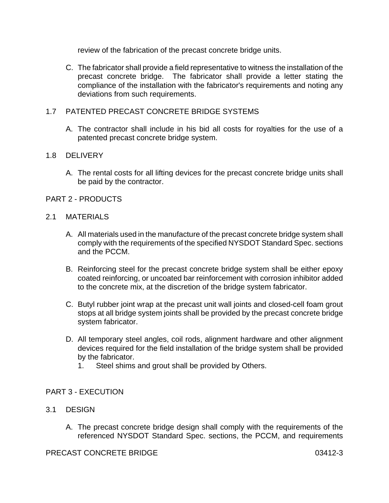review of the fabrication of the precast concrete bridge units.

C. The fabricator shall provide a field representative to witness the installation of the precast concrete bridge. The fabricator shall provide a letter stating the compliance of the installation with the fabricator's requirements and noting any deviations from such requirements.

# 1.7 PATENTED PRECAST CONCRETE BRIDGE SYSTEMS

A. The contractor shall include in his bid all costs for royalties for the use of a patented precast concrete bridge system.

## 1.8 DELIVERY

- A. The rental costs for all lifting devices for the precast concrete bridge units shall be paid by the contractor.
- PART 2 PRODUCTS
- 2.1 MATERIALS
	- A. All materials used in the manufacture of the precast concrete bridge system shall comply with the requirements of the specified NYSDOT Standard Spec. sections and the PCCM.
	- B. Reinforcing steel for the precast concrete bridge system shall be either epoxy coated reinforcing, or uncoated bar reinforcement with corrosion inhibitor added to the concrete mix, at the discretion of the bridge system fabricator.
	- C. Butyl rubber joint wrap at the precast unit wall joints and closed-cell foam grout stops at all bridge system joints shall be provided by the precast concrete bridge system fabricator.
	- D. All temporary steel angles, coil rods, alignment hardware and other alignment devices required for the field installation of the bridge system shall be provided by the fabricator.
		- 1. Steel shims and grout shall be provided by Others.

## PART 3 - EXECUTION

## 3.1 DESIGN

A. The precast concrete bridge design shall comply with the requirements of the referenced NYSDOT Standard Spec. sections, the PCCM, and requirements

#### PRECAST CONCRETE BRIDGE 03412-3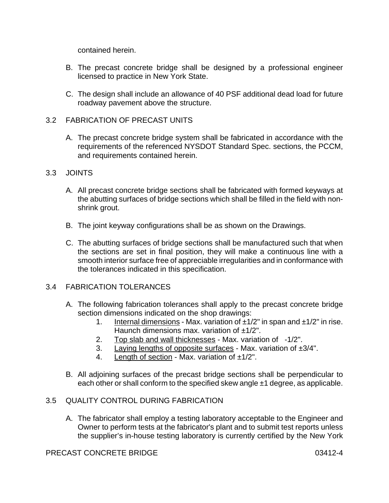contained herein.

- B. The precast concrete bridge shall be designed by a professional engineer licensed to practice in New York State.
- C. The design shall include an allowance of 40 PSF additional dead load for future roadway pavement above the structure.

#### 3.2 FABRICATION OF PRECAST UNITS

A. The precast concrete bridge system shall be fabricated in accordance with the requirements of the referenced NYSDOT Standard Spec. sections, the PCCM, and requirements contained herein.

#### 3.3 JOINTS

- A. All precast concrete bridge sections shall be fabricated with formed keyways at the abutting surfaces of bridge sections which shall be filled in the field with nonshrink grout.
- B. The joint keyway configurations shall be as shown on the Drawings.
- C. The abutting surfaces of bridge sections shall be manufactured such that when the sections are set in final position, they will make a continuous line with a smooth interior surface free of appreciable irregularities and in conformance with the tolerances indicated in this specification.

## 3.4 FABRICATION TOLERANCES

- A. The following fabrication tolerances shall apply to the precast concrete bridge section dimensions indicated on the shop drawings:
	- 1. Internal dimensions Max. variation of  $\pm 1/2$ " in span and  $\pm 1/2$ " in rise. Haunch dimensions max. variation of  $\pm 1/2$ ".
	- 2. Top slab and wall thicknesses Max. variation of -1/2".
	- 3. Laying lengths of opposite surfaces Max. variation of  $\pm 3/4$ ".
	- 4. Length of section Max. variation of  $\pm 1/2$ ".
- B. All adjoining surfaces of the precast bridge sections shall be perpendicular to each other or shall conform to the specified skew angle ±1 degree, as applicable.

#### 3.5 QUALITY CONTROL DURING FABRICATION

A. The fabricator shall employ a testing laboratory acceptable to the Engineer and Owner to perform tests at the fabricator's plant and to submit test reports unless the supplier's in-house testing laboratory is currently certified by the New York

#### PRECAST CONCRETE BRIDGE 03412-4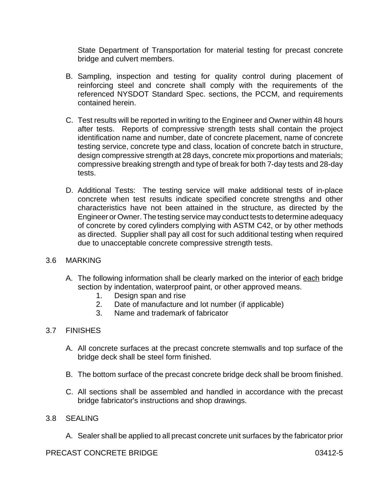State Department of Transportation for material testing for precast concrete bridge and culvert members.

- B. Sampling, inspection and testing for quality control during placement of reinforcing steel and concrete shall comply with the requirements of the referenced NYSDOT Standard Spec. sections, the PCCM, and requirements contained herein.
- C. Test results will be reported in writing to the Engineer and Owner within 48 hours after tests. Reports of compressive strength tests shall contain the project identification name and number, date of concrete placement, name of concrete testing service, concrete type and class, location of concrete batch in structure, design compressive strength at 28 days, concrete mix proportions and materials; compressive breaking strength and type of break for both 7-day tests and 28-day tests.
- D. Additional Tests: The testing service will make additional tests of in-place concrete when test results indicate specified concrete strengths and other characteristics have not been attained in the structure, as directed by the Engineer or Owner. The testing service may conduct tests to determine adequacy of concrete by cored cylinders complying with ASTM C42, or by other methods as directed. Supplier shall pay all cost for such additional testing when required due to unacceptable concrete compressive strength tests.

## 3.6 MARKING

- A. The following information shall be clearly marked on the interior of each bridge section by indentation, waterproof paint, or other approved means.
	- 1. Design span and rise
	- 2. Date of manufacture and lot number (if applicable)
	- 3. Name and trademark of fabricator

## 3.7 FINISHES

- A. All concrete surfaces at the precast concrete stemwalls and top surface of the bridge deck shall be steel form finished.
- B. The bottom surface of the precast concrete bridge deck shall be broom finished.
- C. All sections shall be assembled and handled in accordance with the precast bridge fabricator's instructions and shop drawings.
- 3.8 SEALING
	- A. Sealer shall be applied to all precast concrete unit surfaces by the fabricator prior